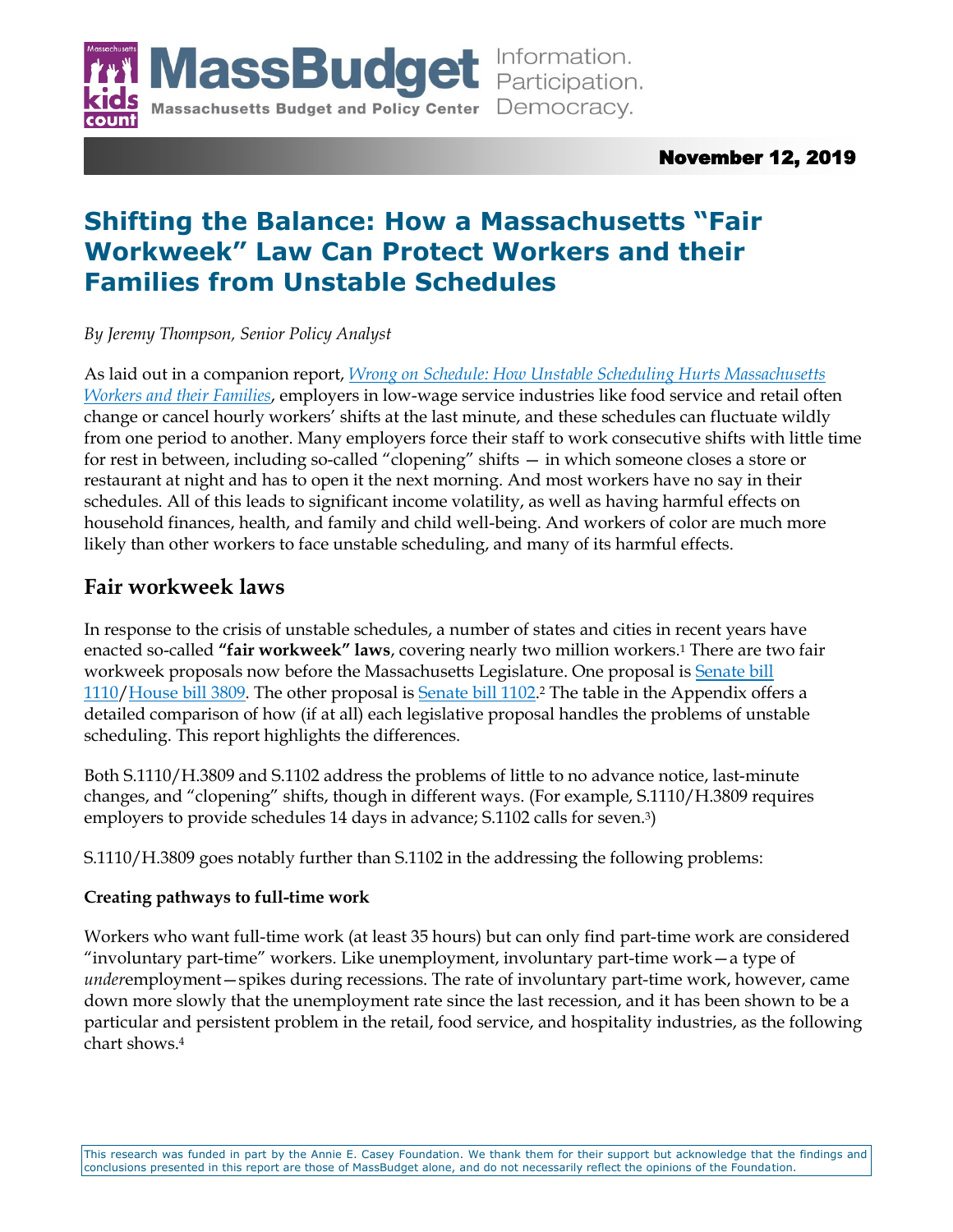

# November 12, 2019

# **Shifting the Balance: How a Massachusetts "Fair Workweek" Law Can Protect Workers and their Families from Unstable Schedules**

*By Jeremy Thompson, Senior Policy Analyst*

As laid out in a companion report, *[Wrong on Schedule: How Unstable Scheduling Hurts Massachusetts](http://massbudget.org/report_window.php?loc=Wrong%20on%20Schedule.html)  [Workers and their Families](http://massbudget.org/report_window.php?loc=Wrong%20on%20Schedule.html)*, employers in low-wage service industries like food service and retail often change or cancel hourly workers' shifts at the last minute, and these schedules can fluctuate wildly from one period to another. Many employers force their staff to work consecutive shifts with little time for rest in between, including so-called "clopening" shifts — in which someone closes a store or restaurant at night and has to open it the next morning. And most workers have no say in their schedules. All of this leads to significant income volatility, as well as having harmful effects on household finances, health, and family and child well-being. And workers of color are much more likely than other workers to face unstable scheduling, and many of its harmful effects.

# **Fair workweek laws**

In response to the crisis of unstable schedules, a number of states and cities in recent years have enacted so-called **"fair workweek" laws**, covering nearly two million workers.<sup>1</sup> There are two fair workweek proposals now before the Massachusetts Legislature. One proposal is [Senate bill](https://malegislature.gov/Bills/191/S1110)  [1110](https://malegislature.gov/Bills/191/S1110)[/House bill 3809.](https://malegislature.gov/Bills/191/H3809) The other proposal is <u>Senate bill 1102</u>.<sup>2</sup> The table in the Appendix offers a detailed comparison of how (if at all) each legislative proposal handles the problems of unstable scheduling. This report highlights the differences.

Both S.1110/H.3809 and S.1102 address the problems of little to no advance notice, last-minute changes, and "clopening" shifts, though in different ways. (For example, S.1110/H.3809 requires employers to provide schedules 14 days in advance; S.1102 calls for seven.<sup>3</sup>)

S.1110/H.3809 goes notably further than S.1102 in the addressing the following problems:

## **Creating pathways to full-time work**

Workers who want full-time work (at least 35 hours) but can only find part-time work are considered "involuntary part-time" workers. Like unemployment, involuntary part-time work—a type of *under*employment—spikes during recessions. The rate of involuntary part-time work, however, came down more slowly that the unemployment rate since the last recession, and it has been shown to be a particular and persistent problem in the retail, food service, and hospitality industries, as the following chart shows. 4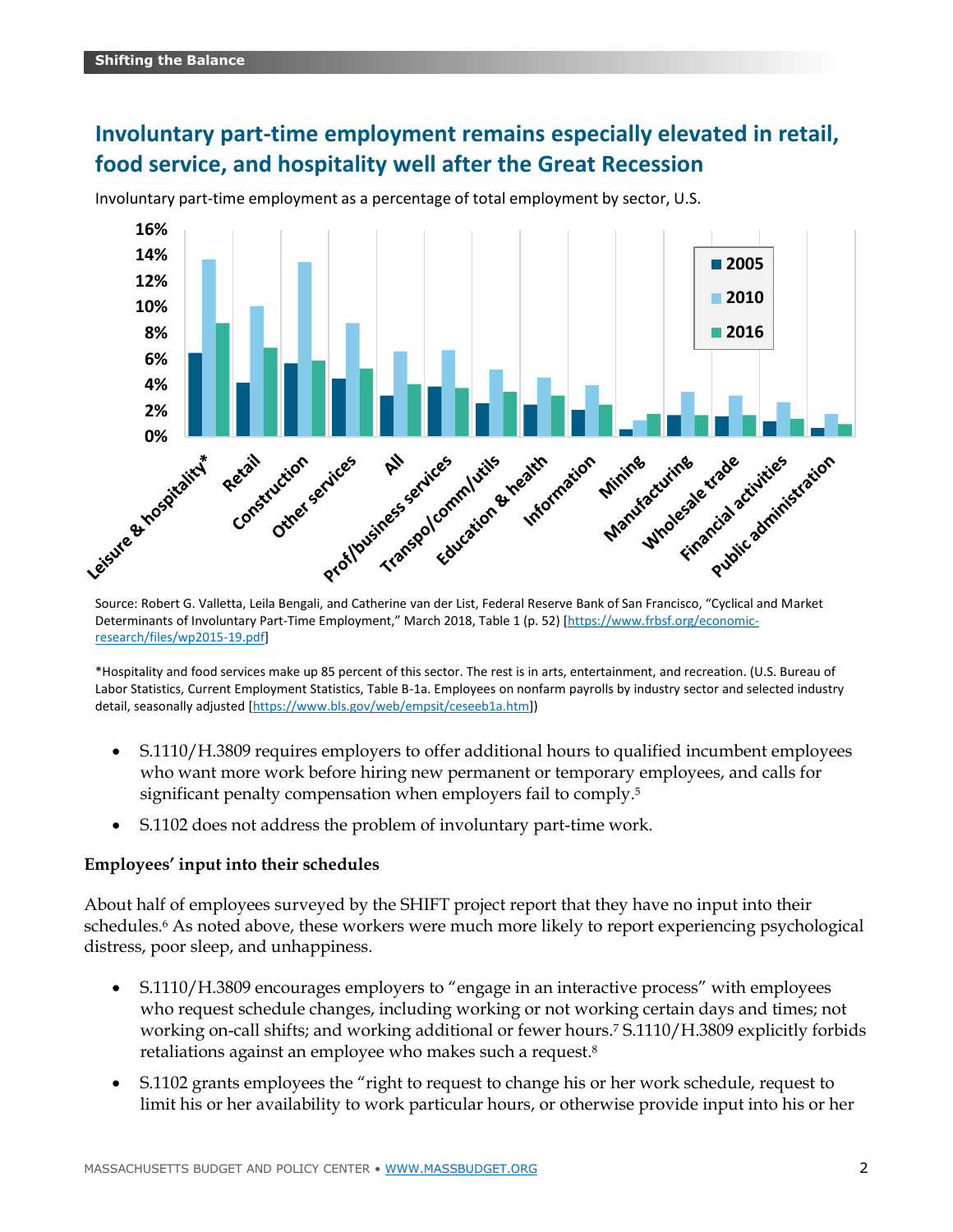# **Involuntary part-time employment remains especially elevated in retail, food service, and hospitality well after the Great Recession**



Involuntary part-time employment as a percentage of total employment by sector, U.S.

Source: Robert G. Valletta, Leila Bengali, and Catherine van der List, Federal Reserve Bank of San Francisco, "Cyclical and Market Determinants of Involuntary Part-[Time Employment," March 2018, Table 1 \(p. 52\) \[](https://www.frbsf.org/economic-research/files/wp2015-19.pdf)https://www.frbsf.org/economicresearch/files/wp2015-19.pdf]

\*Hospitality and food services make up 85 percent of this sector. The rest is in arts, entertainment, and recreation. (U.S. Bureau of Labor Statistics, Current Employment Statistics, Table B-1a. Employees on nonfarm payrolls by industry sector and selected industry detail, seasonally adjusted [<https://www.bls.gov/web/empsit/ceseeb1a.htm>])

- S.1110/H.3809 requires employers to offer additional hours to qualified incumbent employees who want more work before hiring new permanent or temporary employees, and calls for significant penalty compensation when employers fail to comply.<sup>5</sup>
- S.1102 does not address the problem of involuntary part-time work.

### **Employees' input into their schedules**

About half of employees surveyed by the SHIFT project report that they have no input into their schedules.<sup>6</sup> As noted above, these workers were much more likely to report experiencing psychological distress, poor sleep, and unhappiness.

- S.1110/H.3809 encourages employers to "engage in an interactive process" with employees who request schedule changes, including working or not working certain days and times; not working on-call shifts; and working additional or fewer hours.<sup>7</sup> S.1110/H.3809 explicitly forbids retaliations against an employee who makes such a request.<sup>8</sup>
- S.1102 grants employees the "right to request to change his or her work schedule, request to limit his or her availability to work particular hours, or otherwise provide input into his or her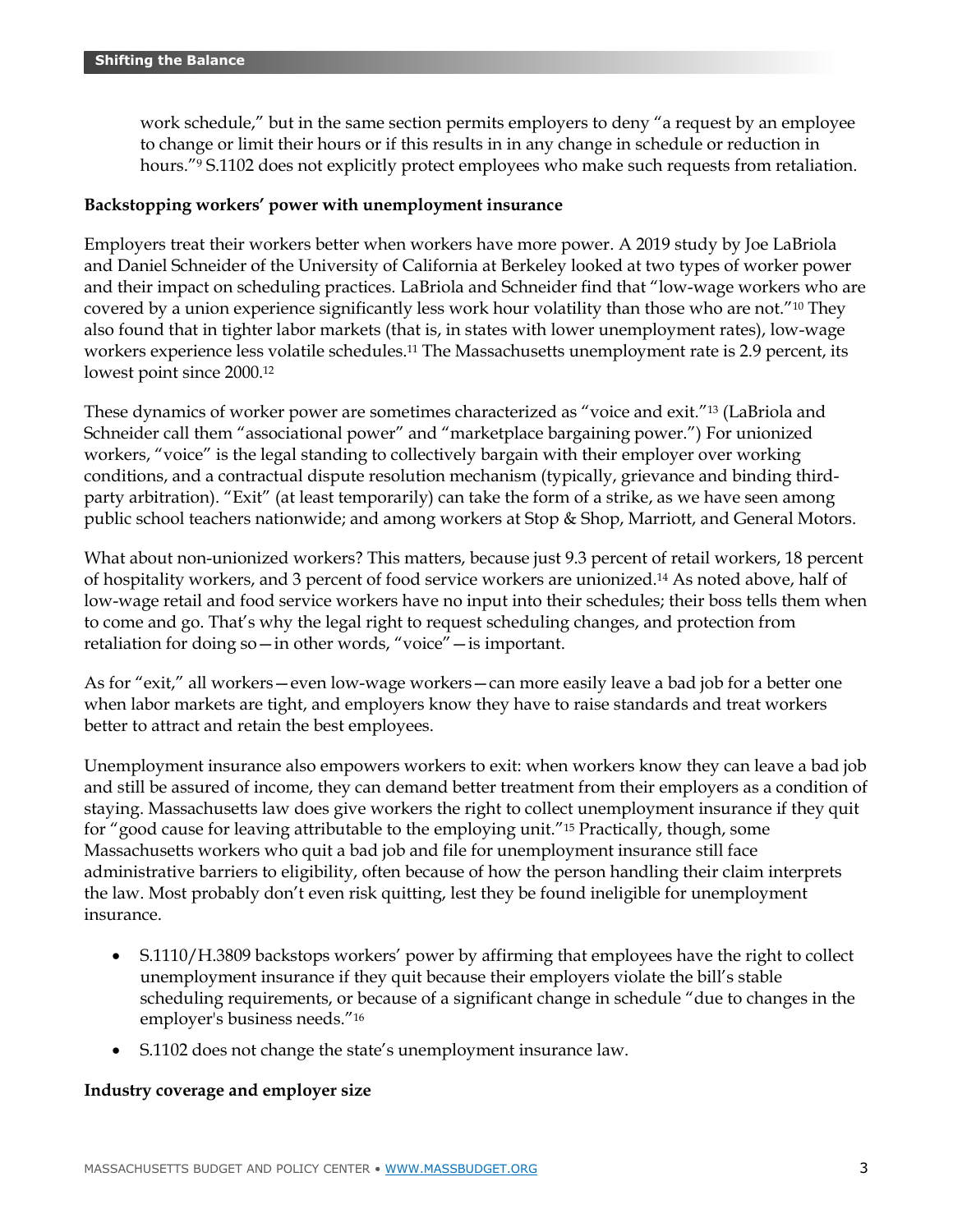work schedule," but in the same section permits employers to deny "a request by an employee to change or limit their hours or if this results in in any change in schedule or reduction in hours."<sup>9</sup> S.1102 does not explicitly protect employees who make such requests from retaliation.

### **Backstopping workers' power with unemployment insurance**

Employers treat their workers better when workers have more power. A 2019 study by Joe LaBriola and Daniel Schneider of the University of California at Berkeley looked at two types of worker power and their impact on scheduling practices. LaBriola and Schneider find that "low-wage workers who are covered by a union experience significantly less work hour volatility than those who are not."<sup>10</sup> They also found that in tighter labor markets (that is, in states with lower unemployment rates), low-wage workers experience less volatile schedules.<sup>11</sup> The Massachusetts unemployment rate is 2.9 percent, its lowest point since 2000.<sup>12</sup>

These dynamics of worker power are sometimes characterized as "voice and exit."<sup>13</sup> (LaBriola and Schneider call them "associational power" and "marketplace bargaining power.") For unionized workers, "voice" is the legal standing to collectively bargain with their employer over working conditions, and a contractual dispute resolution mechanism (typically, grievance and binding thirdparty arbitration). "Exit" (at least temporarily) can take the form of a strike, as we have seen among public school teachers nationwide; and among workers at Stop & Shop, Marriott, and General Motors.

What about non-unionized workers? This matters, because just 9.3 percent of retail workers, 18 percent of hospitality workers, and 3 percent of food service workers are unionized. <sup>14</sup> As noted above, half of low-wage retail and food service workers have no input into their schedules; their boss tells them when to come and go. That's why the legal right to request scheduling changes, and protection from retaliation for doing so—in other words, "voice"—is important.

As for "exit," all workers—even low-wage workers—can more easily leave a bad job for a better one when labor markets are tight, and employers know they have to raise standards and treat workers better to attract and retain the best employees.

Unemployment insurance also empowers workers to exit: when workers know they can leave a bad job and still be assured of income, they can demand better treatment from their employers as a condition of staying. Massachusetts law does give workers the right to collect unemployment insurance if they quit for "good cause for leaving attributable to the employing unit."<sup>15</sup> Practically, though, some Massachusetts workers who quit a bad job and file for unemployment insurance still face administrative barriers to eligibility, often because of how the person handling their claim interprets the law. Most probably don't even risk quitting, lest they be found ineligible for unemployment insurance.

- S.1110/H.3809 backstops workers' power by affirming that employees have the right to collect unemployment insurance if they quit because their employers violate the bill's stable scheduling requirements, or because of a significant change in schedule "due to changes in the employer's business needs."<sup>16</sup>
- S.1102 does not change the state's unemployment insurance law.

### **Industry coverage and employer size**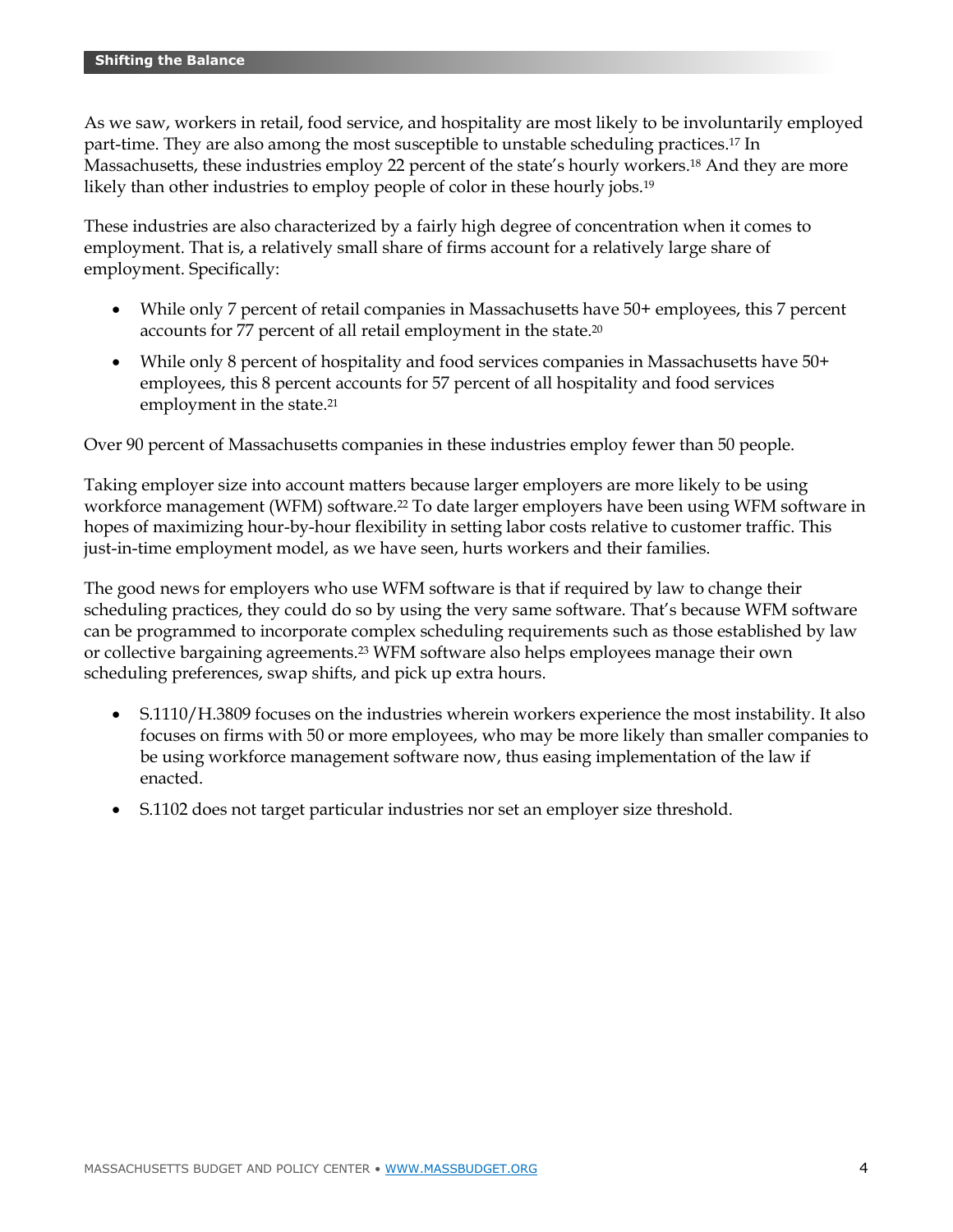As we saw, workers in retail, food service, and hospitality are most likely to be involuntarily employed part-time. They are also among the most susceptible to unstable scheduling practices.<sup>17</sup> In Massachusetts, these industries employ 22 percent of the state's hourly workers.<sup>18</sup> And they are more likely than other industries to employ people of color in these hourly jobs.<sup>19</sup>

These industries are also characterized by a fairly high degree of concentration when it comes to employment. That is, a relatively small share of firms account for a relatively large share of employment. Specifically:

- While only 7 percent of retail companies in Massachusetts have 50+ employees, this 7 percent accounts for 77 percent of all retail employment in the state.<sup>20</sup>
- While only 8 percent of hospitality and food services companies in Massachusetts have 50+ employees, this 8 percent accounts for 57 percent of all hospitality and food services employment in the state.<sup>21</sup>

Over 90 percent of Massachusetts companies in these industries employ fewer than 50 people.

Taking employer size into account matters because larger employers are more likely to be using workforce management (WFM) software.<sup>22</sup> To date larger employers have been using WFM software in hopes of maximizing hour-by-hour flexibility in setting labor costs relative to customer traffic. This just-in-time employment model, as we have seen, hurts workers and their families.

The good news for employers who use WFM software is that if required by law to change their scheduling practices, they could do so by using the very same software. That's because WFM software can be programmed to incorporate complex scheduling requirements such as those established by law or collective bargaining agreements.<sup>23</sup> WFM software also helps employees manage their own scheduling preferences, swap shifts, and pick up extra hours.

- S.1110/H.3809 focuses on the industries wherein workers experience the most instability. It also focuses on firms with 50 or more employees, who may be more likely than smaller companies to be using workforce management software now, thus easing implementation of the law if enacted.
- S.1102 does not target particular industries nor set an employer size threshold.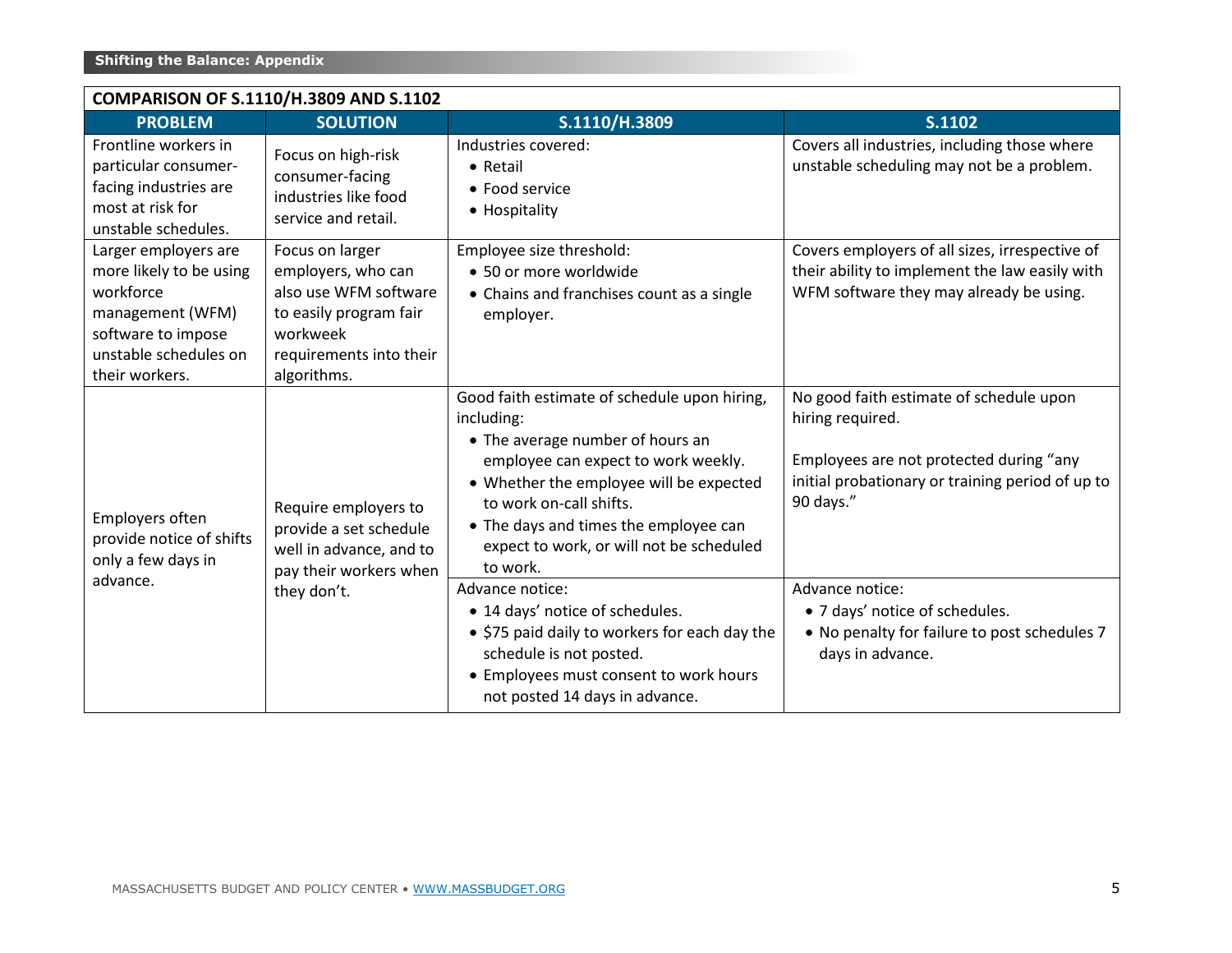| COMPARISON OF S.1110/H.3809 AND S.1102                                                                                                            |                                                                                                                                                |                                                                                                                                                                                                                                                                                                                                 |                                                                                                                                                                                            |  |  |  |
|---------------------------------------------------------------------------------------------------------------------------------------------------|------------------------------------------------------------------------------------------------------------------------------------------------|---------------------------------------------------------------------------------------------------------------------------------------------------------------------------------------------------------------------------------------------------------------------------------------------------------------------------------|--------------------------------------------------------------------------------------------------------------------------------------------------------------------------------------------|--|--|--|
| <b>PROBLEM</b>                                                                                                                                    | <b>SOLUTION</b>                                                                                                                                | S.1110/H.3809                                                                                                                                                                                                                                                                                                                   | S.1102                                                                                                                                                                                     |  |  |  |
| Frontline workers in<br>particular consumer-<br>facing industries are<br>most at risk for<br>unstable schedules.                                  | Focus on high-risk<br>consumer-facing<br>industries like food<br>service and retail.                                                           | Industries covered:<br>• Retail<br>• Food service<br>• Hospitality                                                                                                                                                                                                                                                              | Covers all industries, including those where<br>unstable scheduling may not be a problem.                                                                                                  |  |  |  |
| Larger employers are<br>more likely to be using<br>workforce<br>management (WFM)<br>software to impose<br>unstable schedules on<br>their workers. | Focus on larger<br>employers, who can<br>also use WFM software<br>to easily program fair<br>workweek<br>requirements into their<br>algorithms. | Employee size threshold:<br>• 50 or more worldwide<br>• Chains and franchises count as a single<br>employer.                                                                                                                                                                                                                    | Covers employers of all sizes, irrespective of<br>their ability to implement the law easily with<br>WFM software they may already be using.                                                |  |  |  |
| Employers often<br>provide notice of shifts<br>only a few days in<br>advance.                                                                     | Require employers to<br>provide a set schedule<br>well in advance, and to<br>pay their workers when<br>they don't.                             | Good faith estimate of schedule upon hiring,<br>including:<br>• The average number of hours an<br>employee can expect to work weekly.<br>• Whether the employee will be expected<br>to work on-call shifts.<br>• The days and times the employee can<br>expect to work, or will not be scheduled<br>to work.<br>Advance notice: | No good faith estimate of schedule upon<br>hiring required.<br>Employees are not protected during "any<br>initial probationary or training period of up to<br>90 days."<br>Advance notice: |  |  |  |
|                                                                                                                                                   |                                                                                                                                                | • 14 days' notice of schedules.<br>• \$75 paid daily to workers for each day the<br>schedule is not posted.<br>• Employees must consent to work hours<br>not posted 14 days in advance.                                                                                                                                         | • 7 days' notice of schedules.<br>. No penalty for failure to post schedules 7<br>days in advance.                                                                                         |  |  |  |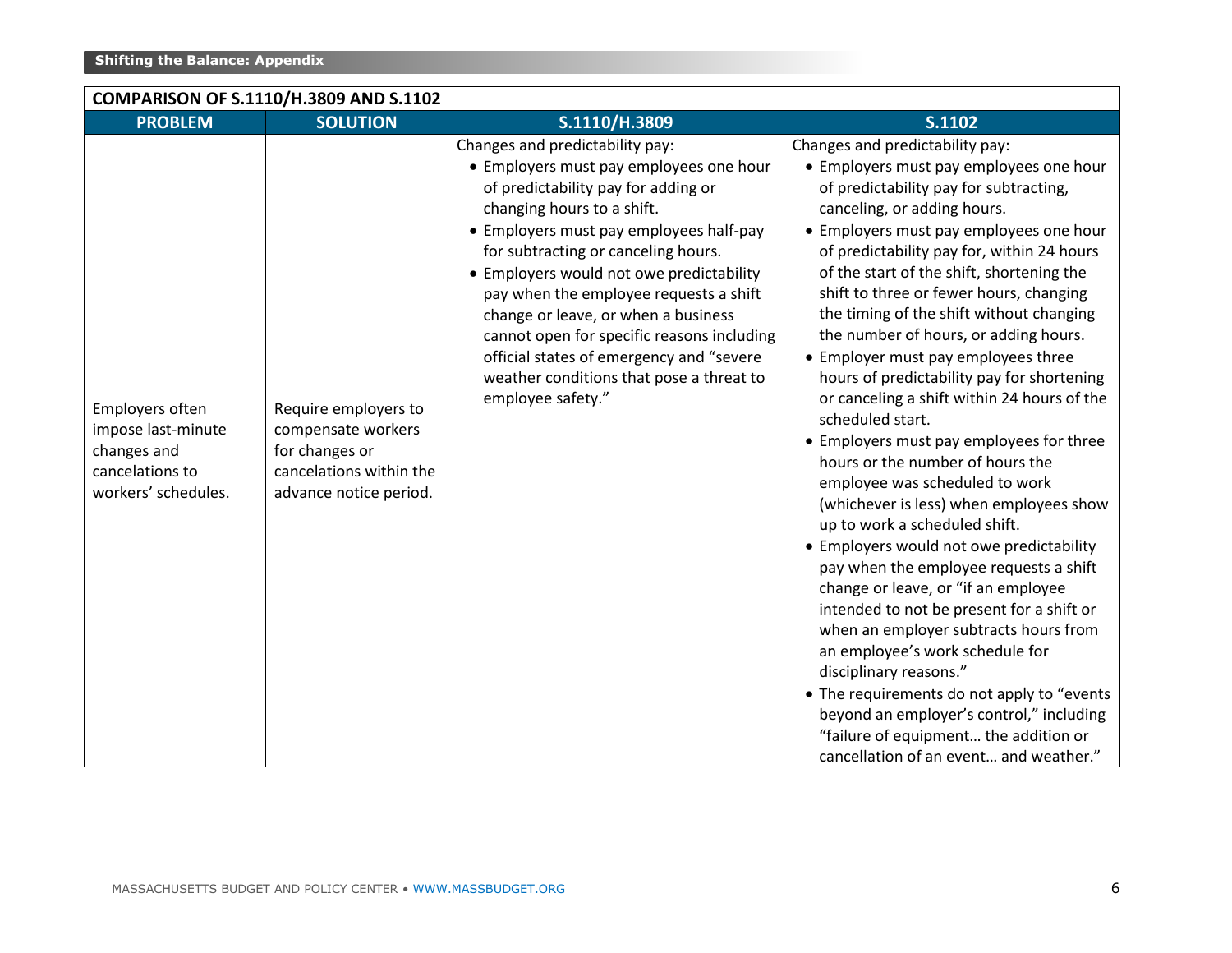| <b>PROBLEM</b>                                                                                 | <b>SOLUTION</b>                                                                                                   | S.1110/H.3809                                                                                                                                                                                                                                                                                                                                                                                                                                                                                                             | S.1102                                                                                                                                                                                                                                                                                                                                                                                                                                                                                                                                                                                                                                                                                                                                                                                                                                                                                                                                                                                                                                                                                                                                                                                                                                       |
|------------------------------------------------------------------------------------------------|-------------------------------------------------------------------------------------------------------------------|---------------------------------------------------------------------------------------------------------------------------------------------------------------------------------------------------------------------------------------------------------------------------------------------------------------------------------------------------------------------------------------------------------------------------------------------------------------------------------------------------------------------------|----------------------------------------------------------------------------------------------------------------------------------------------------------------------------------------------------------------------------------------------------------------------------------------------------------------------------------------------------------------------------------------------------------------------------------------------------------------------------------------------------------------------------------------------------------------------------------------------------------------------------------------------------------------------------------------------------------------------------------------------------------------------------------------------------------------------------------------------------------------------------------------------------------------------------------------------------------------------------------------------------------------------------------------------------------------------------------------------------------------------------------------------------------------------------------------------------------------------------------------------|
| Employers often<br>impose last-minute<br>changes and<br>cancelations to<br>workers' schedules. | Require employers to<br>compensate workers<br>for changes or<br>cancelations within the<br>advance notice period. | Changes and predictability pay:<br>• Employers must pay employees one hour<br>of predictability pay for adding or<br>changing hours to a shift.<br>• Employers must pay employees half-pay<br>for subtracting or canceling hours.<br>• Employers would not owe predictability<br>pay when the employee requests a shift<br>change or leave, or when a business<br>cannot open for specific reasons including<br>official states of emergency and "severe<br>weather conditions that pose a threat to<br>employee safety." | Changes and predictability pay:<br>• Employers must pay employees one hour<br>of predictability pay for subtracting,<br>canceling, or adding hours.<br>• Employers must pay employees one hour<br>of predictability pay for, within 24 hours<br>of the start of the shift, shortening the<br>shift to three or fewer hours, changing<br>the timing of the shift without changing<br>the number of hours, or adding hours.<br>• Employer must pay employees three<br>hours of predictability pay for shortening<br>or canceling a shift within 24 hours of the<br>scheduled start.<br>• Employers must pay employees for three<br>hours or the number of hours the<br>employee was scheduled to work<br>(whichever is less) when employees show<br>up to work a scheduled shift.<br>• Employers would not owe predictability<br>pay when the employee requests a shift<br>change or leave, or "if an employee<br>intended to not be present for a shift or<br>when an employer subtracts hours from<br>an employee's work schedule for<br>disciplinary reasons."<br>• The requirements do not apply to "events<br>beyond an employer's control," including<br>"failure of equipment the addition or<br>cancellation of an event and weather." |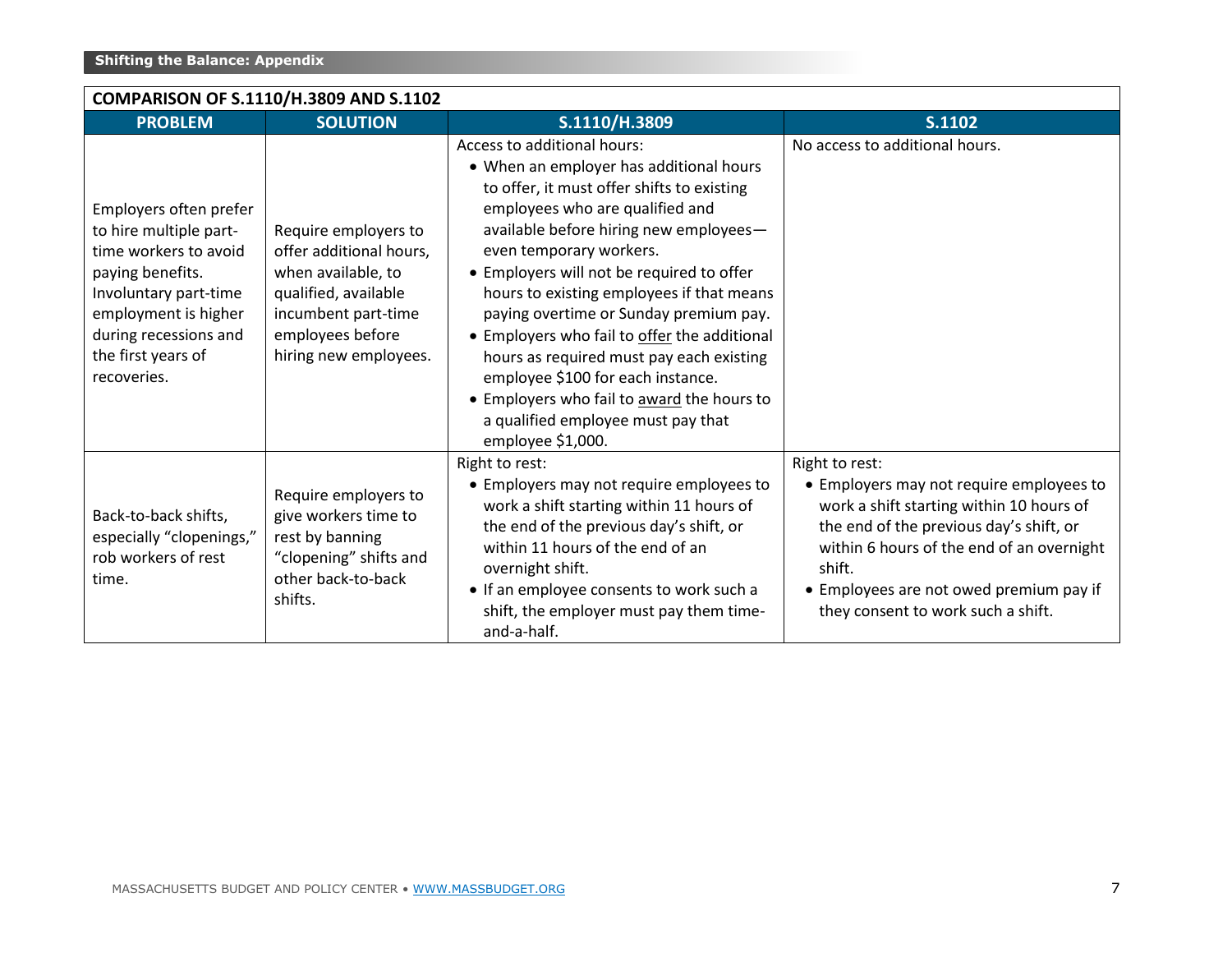| COMPARISON OF S.1110/H.3809 AND S.1102 |                                                                                                                                                                                                              |                                                                                                                                                                   |                                                                                                                                                                                                                                                                                                                                                                                                                                                                                                                                                                                                            |                                                                                                                                                                                                                                                                                           |  |
|----------------------------------------|--------------------------------------------------------------------------------------------------------------------------------------------------------------------------------------------------------------|-------------------------------------------------------------------------------------------------------------------------------------------------------------------|------------------------------------------------------------------------------------------------------------------------------------------------------------------------------------------------------------------------------------------------------------------------------------------------------------------------------------------------------------------------------------------------------------------------------------------------------------------------------------------------------------------------------------------------------------------------------------------------------------|-------------------------------------------------------------------------------------------------------------------------------------------------------------------------------------------------------------------------------------------------------------------------------------------|--|
|                                        | <b>PROBLEM</b>                                                                                                                                                                                               | <b>SOLUTION</b>                                                                                                                                                   | S.1110/H.3809                                                                                                                                                                                                                                                                                                                                                                                                                                                                                                                                                                                              | S.1102                                                                                                                                                                                                                                                                                    |  |
|                                        | Employers often prefer<br>to hire multiple part-<br>time workers to avoid<br>paying benefits.<br>Involuntary part-time<br>employment is higher<br>during recessions and<br>the first years of<br>recoveries. | Require employers to<br>offer additional hours,<br>when available, to<br>qualified, available<br>incumbent part-time<br>employees before<br>hiring new employees. | Access to additional hours:<br>• When an employer has additional hours<br>to offer, it must offer shifts to existing<br>employees who are qualified and<br>available before hiring new employees-<br>even temporary workers.<br>• Employers will not be required to offer<br>hours to existing employees if that means<br>paying overtime or Sunday premium pay.<br>• Employers who fail to offer the additional<br>hours as required must pay each existing<br>employee \$100 for each instance.<br>• Employers who fail to award the hours to<br>a qualified employee must pay that<br>employee \$1,000. | No access to additional hours.                                                                                                                                                                                                                                                            |  |
|                                        | Back-to-back shifts,<br>especially "clopenings,"<br>rob workers of rest<br>time.                                                                                                                             | Require employers to<br>give workers time to<br>rest by banning<br>"clopening" shifts and<br>other back-to-back<br>shifts.                                        | Right to rest:<br>• Employers may not require employees to<br>work a shift starting within 11 hours of<br>the end of the previous day's shift, or<br>within 11 hours of the end of an<br>overnight shift.<br>• If an employee consents to work such a<br>shift, the employer must pay them time-<br>and-a-half.                                                                                                                                                                                                                                                                                            | Right to rest:<br>• Employers may not require employees to<br>work a shift starting within 10 hours of<br>the end of the previous day's shift, or<br>within 6 hours of the end of an overnight<br>shift.<br>• Employees are not owed premium pay if<br>they consent to work such a shift. |  |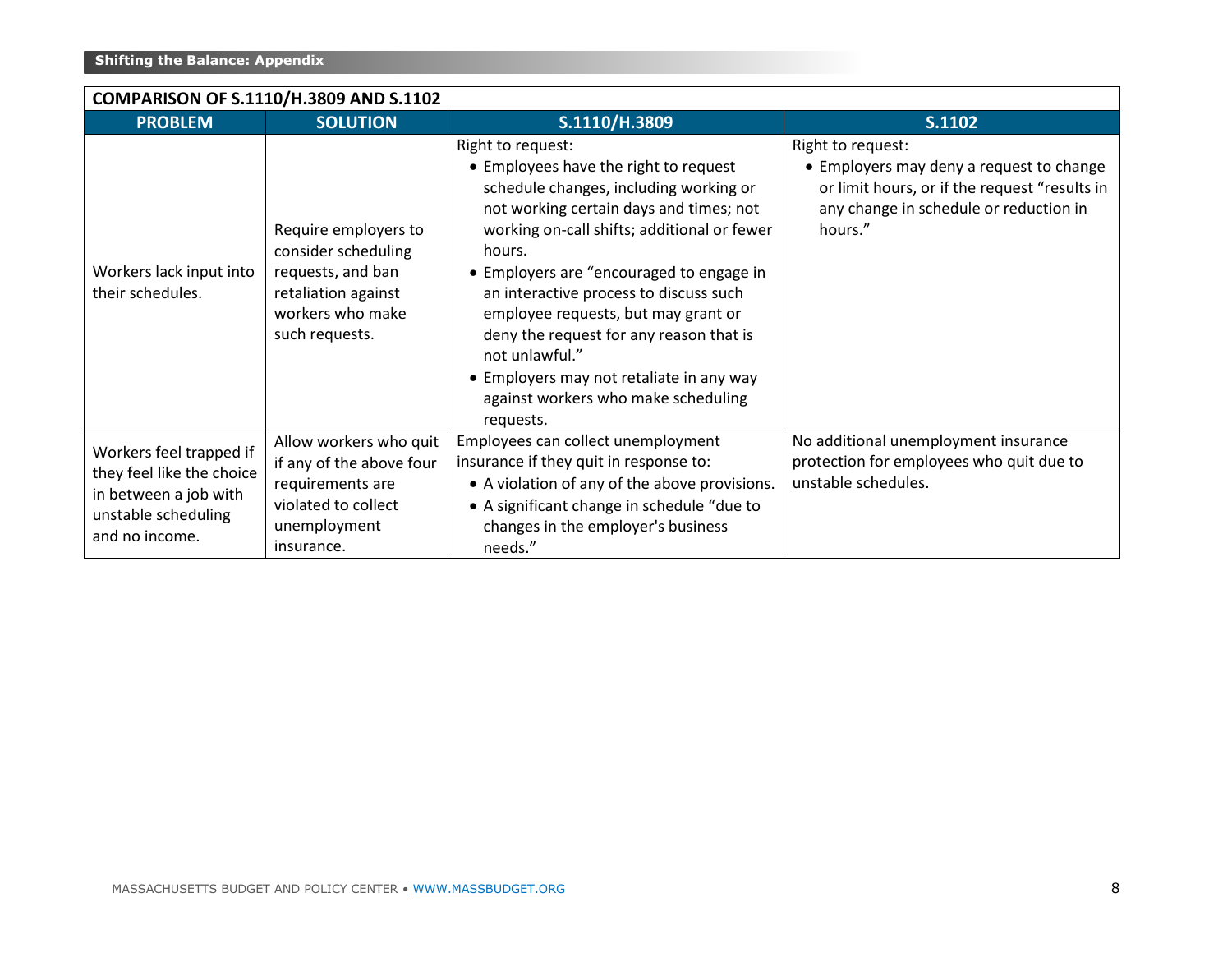| COMPARISON OF S.1110/H.3809 AND S.1102                                                                                 |                                                                                                                               |                                                                                                                                                                                                                                                                                                                                                                                                                                                                                                    |                                                                                                                                                                     |  |  |  |
|------------------------------------------------------------------------------------------------------------------------|-------------------------------------------------------------------------------------------------------------------------------|----------------------------------------------------------------------------------------------------------------------------------------------------------------------------------------------------------------------------------------------------------------------------------------------------------------------------------------------------------------------------------------------------------------------------------------------------------------------------------------------------|---------------------------------------------------------------------------------------------------------------------------------------------------------------------|--|--|--|
| <b>PROBLEM</b>                                                                                                         | <b>SOLUTION</b>                                                                                                               | S.1110/H.3809                                                                                                                                                                                                                                                                                                                                                                                                                                                                                      | S.1102                                                                                                                                                              |  |  |  |
| Workers lack input into<br>their schedules.                                                                            | Require employers to<br>consider scheduling<br>requests, and ban<br>retaliation against<br>workers who make<br>such requests. | Right to request:<br>• Employees have the right to request<br>schedule changes, including working or<br>not working certain days and times; not<br>working on-call shifts; additional or fewer<br>hours.<br>• Employers are "encouraged to engage in<br>an interactive process to discuss such<br>employee requests, but may grant or<br>deny the request for any reason that is<br>not unlawful."<br>• Employers may not retaliate in any way<br>against workers who make scheduling<br>requests. | Right to request:<br>• Employers may deny a request to change<br>or limit hours, or if the request "results in<br>any change in schedule or reduction in<br>hours." |  |  |  |
| Workers feel trapped if<br>they feel like the choice<br>in between a job with<br>unstable scheduling<br>and no income. | Allow workers who quit<br>if any of the above four<br>requirements are<br>violated to collect<br>unemployment<br>insurance.   | Employees can collect unemployment<br>insurance if they quit in response to:<br>• A violation of any of the above provisions.<br>• A significant change in schedule "due to<br>changes in the employer's business<br>needs."                                                                                                                                                                                                                                                                       | No additional unemployment insurance<br>protection for employees who quit due to<br>unstable schedules.                                                             |  |  |  |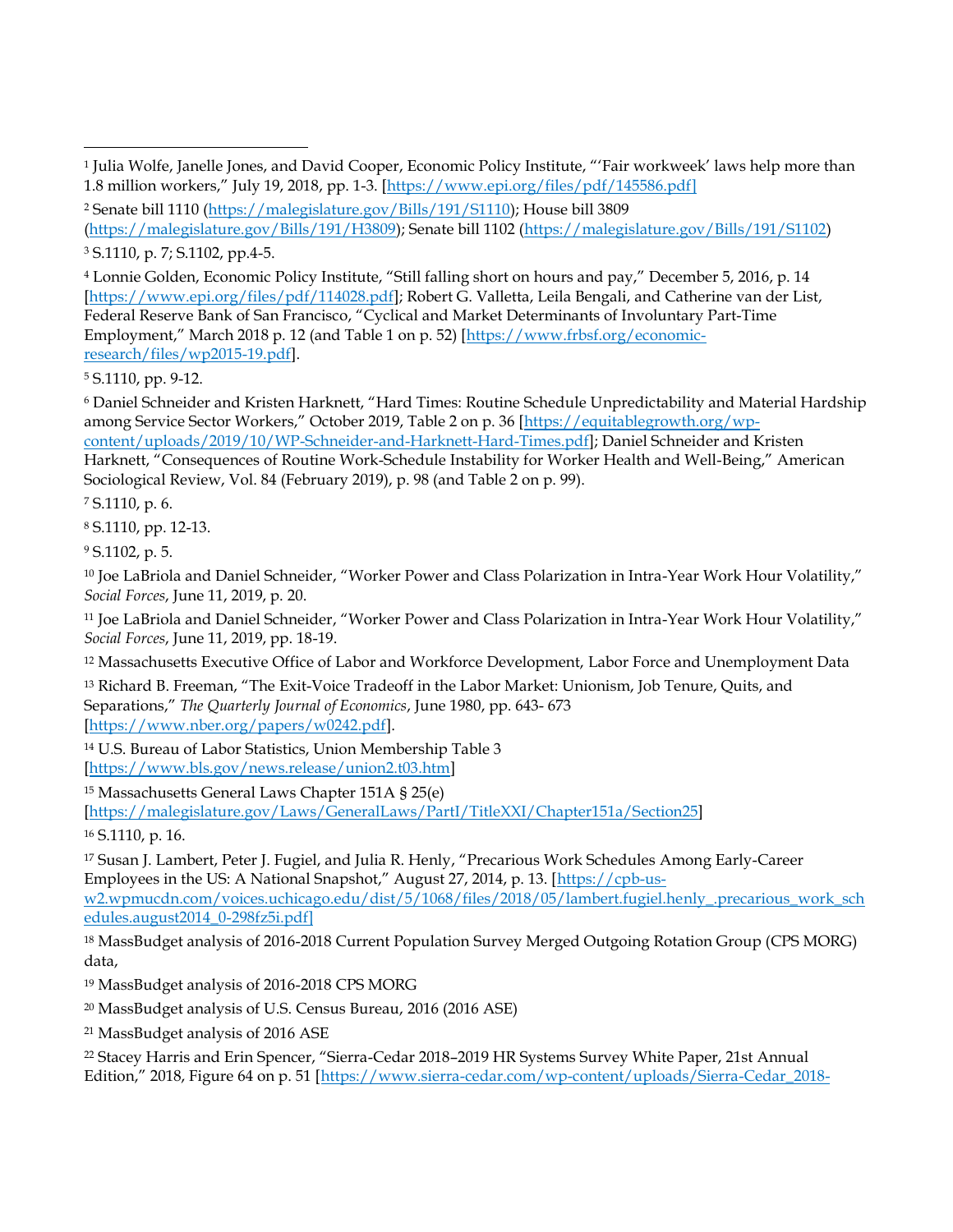<sup>4</sup> Lonnie Golden, Economic Policy Institute, "Still falling short on hours and pay," December 5, 2016, p. 14 [\[https://www.epi.org/files/pdf/114028.pdf\]](https://www.epi.org/files/pdf/114028.pdf); Robert G. Valletta, Leila Bengali, and Catherine van der List, Federal Reserve Bank of San Francisco, "Cyclical and Market Determinants of Involuntary Part-Time Employment," March 2018 p. 12 (and Table 1 on p. 52) [\[https://www.frbsf.org/economic](https://www.frbsf.org/economic-research/files/wp2015-19.pdf)[research/files/wp2015-19.pdf\]](https://www.frbsf.org/economic-research/files/wp2015-19.pdf).

<sup>5</sup> S.1110, pp. 9-12.

<sup>6</sup> Daniel Schneider and Kristen Harknett, "Hard Times: Routine Schedule Unpredictability and Material Hardship among Service Sector Workers," October 2019, Table 2 on p. 36 [\[https://equitablegrowth.org/wp](https://equitablegrowth.org/wp-content/uploads/2019/10/WP-Schneider-and-Harknett-Hard-Times.pdf)[content/uploads/2019/10/WP-Schneider-and-Harknett-Hard-Times.pdf\]](https://equitablegrowth.org/wp-content/uploads/2019/10/WP-Schneider-and-Harknett-Hard-Times.pdf); Daniel Schneider and Kristen Harknett, "Consequences of Routine Work-Schedule Instability for Worker Health and Well-Being," American Sociological Review, Vol. 84 (February 2019), p. 98 (and Table 2 on p. 99).

<sup>7</sup> S.1110, p. 6.

<sup>8</sup> S.1110, pp. 12-13.

<sup>9</sup> S.1102, p. 5.

<sup>10</sup> Joe LaBriola and Daniel Schneider, "Worker Power and Class Polarization in Intra-Year Work Hour Volatility," *Social Forces*, June 11, 2019, p. 20.

<sup>11</sup> Joe LaBriola and Daniel Schneider, "Worker Power and Class Polarization in Intra-Year Work Hour Volatility," *Social Forces*, June 11, 2019, pp. 18-19.

<sup>12</sup> Massachusetts Executive Office of Labor and Workforce Development, Labor Force and Unemployment Data

<sup>13</sup> Richard B. Freeman, "The Exit-Voice Tradeoff in the Labor Market: Unionism, Job Tenure, Quits, and Separations," *The Quarterly Journal of Economics*, June 1980, pp. 643- 673 [\[https://www.nber.org/papers/w0242.pdf\]](https://www.nber.org/papers/w0242.pdf).

<sup>14</sup> U.S. Bureau of Labor Statistics, Union Membership Table 3 [\[https://www.bls.gov/news.release/union2.t03.htm\]](https://www.bls.gov/news.release/union2.t03.htm)

<sup>15</sup> Massachusetts General Laws Chapter 151A § 25(e) [\[https://malegislature.gov/Laws/GeneralLaws/PartI/TitleXXI/Chapter151a/Section25\]](https://malegislature.gov/Laws/GeneralLaws/PartI/TitleXXI/Chapter151a/Section25)

<sup>16</sup> S.1110, p. 16.

<sup>17</sup> Susan J. Lambert, Peter J. Fugiel, and Julia R. Henly, "Precarious Work Schedules Among Early-Career Employees in the US: A National Snapshot," August 27, 2014, p. 13. [[https://cpb-us](https://cpb-us-w2.wpmucdn.com/voices.uchicago.edu/dist/5/1068/files/2018/05/lambert.fugiel.henly_.precarious_work_schedules.august2014_0-298fz5i.pdf)[w2.wpmucdn.com/voices.uchicago.edu/dist/5/1068/files/2018/05/lambert.fugiel.henly\\_.precarious\\_work\\_sch](https://cpb-us-w2.wpmucdn.com/voices.uchicago.edu/dist/5/1068/files/2018/05/lambert.fugiel.henly_.precarious_work_schedules.august2014_0-298fz5i.pdf)

[edules.august2014\\_0-298fz5i.pdf\]](https://cpb-us-w2.wpmucdn.com/voices.uchicago.edu/dist/5/1068/files/2018/05/lambert.fugiel.henly_.precarious_work_schedules.august2014_0-298fz5i.pdf)

<sup>18</sup> MassBudget analysis of 2016-2018 Current Population Survey Merged Outgoing Rotation Group (CPS MORG) data,

<sup>19</sup> MassBudget analysis of 2016-2018 CPS MORG

<sup>20</sup> MassBudget analysis of U.S. Census Bureau, 2016 (2016 ASE)

<sup>21</sup> MassBudget analysis of 2016 ASE

<sup>22</sup> Stacey Harris and Erin Spencer, "Sierra-Cedar 2018–2019 HR Systems Survey White Paper, 21st Annual Edition," 2018, Figure 64 on p. 51 [[https://www.sierra-cedar.com/wp-content/uploads/Sierra-Cedar\\_2018-](https://www.sierra-cedar.com/wp-content/uploads/Sierra-Cedar_2018-2019_HRSystemsSurvey_WhitePaper.pdf)

<sup>1</sup> Julia Wolfe, Janelle Jones, and David Cooper, Economic Policy Institute, "'Fair workweek' laws help more than 1.8 million workers," July 19, 2018, pp. 1-3. [\[https://www.epi.org/files/pdf/145586.pdf\]](https://www.epi.org/files/pdf/145586.pdf)

<sup>2</sup> Senate bill 1110 [\(https://malegislature.gov/Bills/191/S1110\)](https://malegislature.gov/Bills/191/S1110); House bill 3809

[<sup>\(</sup>https://malegislature.gov/Bills/191/H3809\)](https://malegislature.gov/Bills/191/H3809); Senate bill 1102 [\(https://malegislature.gov/Bills/191/S1102\)](https://malegislature.gov/Bills/191/S1102) <sup>3</sup> S.1110, p. 7; S.1102, pp.4-5.